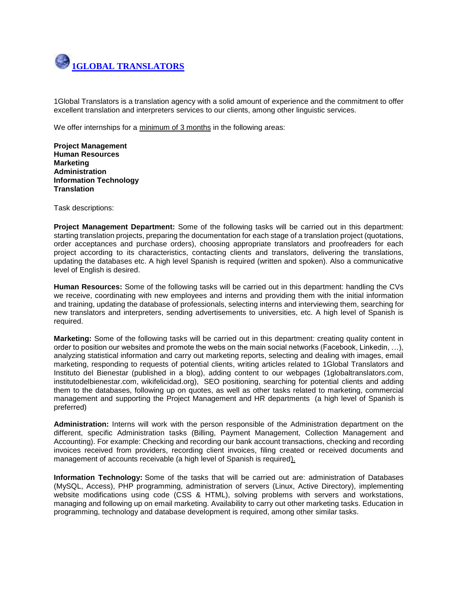

1Global Translators is a translation agency with a solid amount of experience and the commitment to offer excellent translation and interpreters services to our clients, among other linguistic services.

We offer internships for a minimum of 3 months in the following areas:

**Project Management Human Resources Marketing Administration Information Technology Translation**

Task descriptions:

**Project Management Department:** Some of the following tasks will be carried out in this department: starting translation projects, preparing the documentation for each stage of a translation project (quotations, order acceptances and purchase orders), choosing appropriate translators and proofreaders for each project according to its characteristics, contacting clients and translators, delivering the translations, updating the databases etc. A high level Spanish is required (written and spoken). Also a communicative level of English is desired.

**Human Resources:** Some of the following tasks will be carried out in this department: handling the CVs we receive, coordinating with new employees and interns and providing them with the initial information and training, updating the database of professionals, selecting interns and interviewing them, searching for new translators and interpreters, sending advertisements to universities, etc. A high level of Spanish is required.

**Marketing:** Some of the following tasks will be carried out in this department: creating quality content in order to position our websites and promote the webs on the main social networks (Facebook, Linkedin, …), analyzing statistical information and carry out marketing reports, selecting and dealing with images, email marketing, responding to requests of potential clients, writing articles related to 1Global Translators and Instituto del Bienestar (published in a blog), adding content to our webpages (1globaltranslators.com, institutodelbienestar.com, wikifelicidad.org), SEO positioning, searching for potential clients and adding them to the databases, following up on quotes, as well as other tasks related to marketing, commercial management and supporting the Project Management and HR departments (a high level of Spanish is preferred)

**Administration:** Interns will work with the person responsible of the Administration department on the different, specific Administration tasks (Billing, Payment Management, Collection Management and Accounting). For example: Checking and recording our bank account transactions, checking and recording invoices received from providers, recording client invoices, filing created or received documents and management of accounts receivable (a high level of Spanish is required).

**Information Technology:** Some of the tasks that will be carried out are: administration of Databases (MySQL, Access), PHP programming, administration of servers (Linux, Active Directory), implementing website modifications using code (CSS & HTML), solving problems with servers and workstations, managing and following up on email marketing. Availability to carry out other marketing tasks. Education in programming, technology and database development is required, among other similar tasks.